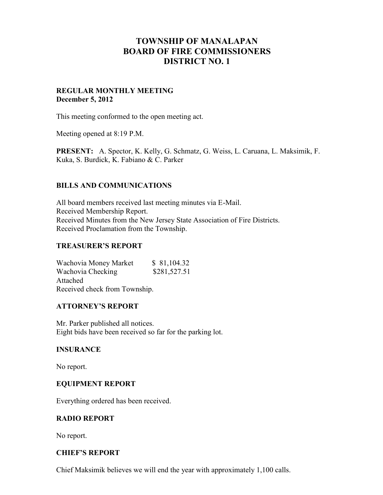# **TOWNSHIP OF MANALAPAN BOARD OF FIRE COMMISSIONERS DISTRICT NO. 1**

## **REGULAR MONTHLY MEETING December 5, 2012**

This meeting conformed to the open meeting act.

Meeting opened at 8:19 P.M.

**PRESENT:** A. Spector, K. Kelly, G. Schmatz, G. Weiss, L. Caruana, L. Maksimik, F. Kuka, S. Burdick, K. Fabiano & C. Parker

## **BILLS AND COMMUNICATIONS**

All board members received last meeting minutes via E-Mail. Received Membership Report. Received Minutes from the New Jersey State Association of Fire Districts. Received Proclamation from the Township.

### **TREASURER'S REPORT**

Wachovia Money Market \$ 81,104.32 Wachovia Checking \$281,527.51 Attached Received check from Township.

### **ATTORNEY'S REPORT**

Mr. Parker published all notices. Eight bids have been received so far for the parking lot.

### **INSURANCE**

No report.

### **EQUIPMENT REPORT**

Everything ordered has been received.

# **RADIO REPORT**

No report.

# **CHIEF'S REPORT**

Chief Maksimik believes we will end the year with approximately 1,100 calls.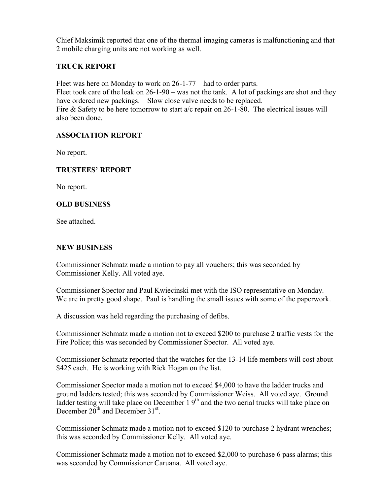Chief Maksimik reported that one of the thermal imaging cameras is malfunctioning and that 2 mobile charging units are not working as well.

# **TRUCK REPORT**

Fleet was here on Monday to work on 26-1-77 – had to order parts.

Fleet took care of the leak on 26-1-90 – was not the tank. A lot of packings are shot and they have ordered new packings. Slow close valve needs to be replaced. Fire & Safety to be here tomorrow to start a/c repair on 26-1-80. The electrical issues will also been done.

## **ASSOCIATION REPORT**

No report.

## **TRUSTEES' REPORT**

No report.

## **OLD BUSINESS**

See attached.

### **NEW BUSINESS**

Commissioner Schmatz made a motion to pay all vouchers; this was seconded by Commissioner Kelly. All voted aye.

Commissioner Spector and Paul Kwiecinski met with the ISO representative on Monday. We are in pretty good shape. Paul is handling the small issues with some of the paperwork.

A discussion was held regarding the purchasing of defibs.

Commissioner Schmatz made a motion not to exceed \$200 to purchase 2 traffic vests for the Fire Police; this was seconded by Commissioner Spector. All voted aye.

Commissioner Schmatz reported that the watches for the 13-14 life members will cost about \$425 each. He is working with Rick Hogan on the list.

Commissioner Spector made a motion not to exceed \$4,000 to have the ladder trucks and ground ladders tested; this was seconded by Commissioner Weiss. All voted aye. Ground ladder testing will take place on December 1 9<sup>th</sup> and the two aerial trucks will take place on December  $20^{\text{th}}$  and December  $31^{\text{st}}$ .

Commissioner Schmatz made a motion not to exceed \$120 to purchase 2 hydrant wrenches; this was seconded by Commissioner Kelly. All voted aye.

Commissioner Schmatz made a motion not to exceed \$2,000 to purchase 6 pass alarms; this was seconded by Commissioner Caruana. All voted aye.